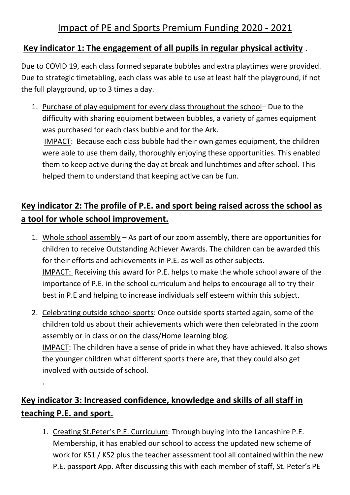### **Key indicator 1: The engagement of all pupils in regular physical activity** .

Due to COVID 19, each class formed separate bubbles and extra playtimes were provided. Due to strategic timetabling, each class was able to use at least half the playground, if not the full playground, up to 3 times a day.

1. Purchase of play equipment for every class throughout the school– Due to the difficulty with sharing equipment between bubbles, a variety of games equipment was purchased for each class bubble and for the Ark. IMPACT: Because each class bubble had their own games equipment, the children were able to use them daily, thoroughly enjoying these opportunities. This enabled them to keep active during the day at break and lunchtimes and after school. This helped them to understand that keeping active can be fun.

## **Key indicator 2: The profile of P.E. and sport being raised across the school as a tool for whole school improvement.**

- 1. Whole school assembly As part of our zoom assembly, there are opportunities for children to receive Outstanding Achiever Awards. The children can be awarded this for their efforts and achievements in P.E. as well as other subjects. IMPACT: Receiving this award for P.E. helps to make the whole school aware of the importance of P.E. in the school curriculum and helps to encourage all to try their best in P.E and helping to increase individuals self esteem within this subject.
- 2. Celebrating outside school sports: Once outside sports started again, some of the children told us about their achievements which were then celebrated in the zoom assembly or in class or on the class/Home learning blog. IMPACT: The children have a sense of pride in what they have achieved. It also shows the younger children what different sports there are, that they could also get involved with outside of school.

# **Key indicator 3: Increased confidence, knowledge and skills of all staff in teaching P.E. and sport.**

.

1. Creating St.Peter's P.E. Curriculum: Through buying into the Lancashire P.E. Membership, it has enabled our school to access the updated new scheme of work for KS1 / KS2 plus the teacher assessment tool all contained within the new P.E. passport App. After discussing this with each member of staff, St. Peter's PE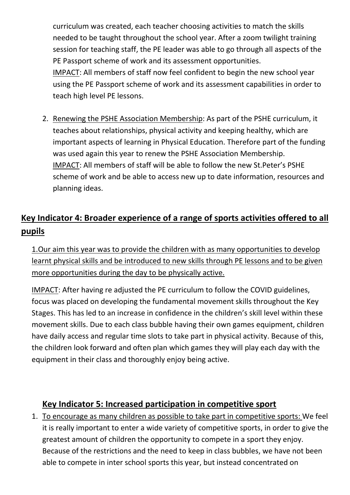curriculum was created, each teacher choosing activities to match the skills needed to be taught throughout the school year. After a zoom twilight training session for teaching staff, the PE leader was able to go through all aspects of the PE Passport scheme of work and its assessment opportunities. IMPACT: All members of staff now feel confident to begin the new school year using the PE Passport scheme of work and its assessment capabilities in order to teach high level PE lessons.

2. Renewing the PSHE Association Membership: As part of the PSHE curriculum, it teaches about relationships, physical activity and keeping healthy, which are important aspects of learning in Physical Education. Therefore part of the funding was used again this year to renew the PSHE Association Membership. IMPACT: All members of staff will be able to follow the new St.Peter's PSHE scheme of work and be able to access new up to date information, resources and planning ideas.

# **Key Indicator 4: Broader experience of a range of sports activities offered to all pupils**

1.Our aim this year was to provide the children with as many opportunities to develop learnt physical skills and be introduced to new skills through PE lessons and to be given more opportunities during the day to be physically active.

IMPACT: After having re adjusted the PE curriculum to follow the COVID guidelines, focus was placed on developing the fundamental movement skills throughout the Key Stages. This has led to an increase in confidence in the children's skill level within these movement skills. Due to each class bubble having their own games equipment, children have daily access and regular time slots to take part in physical activity. Because of this, the children look forward and often plan which games they will play each day with the equipment in their class and thoroughly enjoy being active.

#### **Key Indicator 5: Increased participation in competitive sport**

1. To encourage as many children as possible to take part in competitive sports: We feel it is really important to enter a wide variety of competitive sports, in order to give the greatest amount of children the opportunity to compete in a sport they enjoy. Because of the restrictions and the need to keep in class bubbles, we have not been able to compete in inter school sports this year, but instead concentrated on